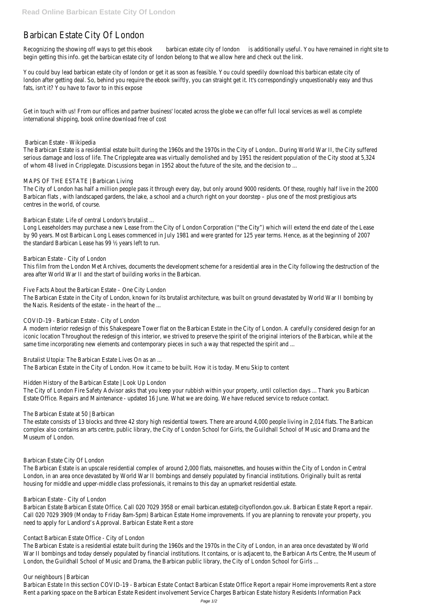# Barbican Estate City Of London

Recognizing the showing off ways to getbanisie bure state city of lond ditionally useful. You have remained in right site to begin getting this info. get the barbican estate city of london belong to that we allow here and check out the link.

You could buy lead barbican estate city of london or get it as soon as feasible. You could speedily download this barbican london after getting deal. So, behind you require the ebook swiftly, you can straight get it. It's correspondingly unquest fats, isn't it? You have to favor to in this expose

Get in touch with us! From our offices and partner business' located across the globe we can offer full local services a international shipping, book online download free of cost

The Barbican Estate is a residential estate built during the 1960s and the 1970s in the City of London.. During World V serious damage and loss of life. The Cripplegate area was virtually demolished and by 1951 the resident population of t of whom 48 lived in Cripplegate. Discussions began in 1952 about the future of the site, and the decision to ...

The City of London has half a million people pass it through every day, but only around 9000 residents. Of these, rough Barbican flats, with landscaped gardens, the lake, a school and a church right on your doorstep – plus one of the most centres in the world, of course.

#### Barbican Estate - Wikipedia

Long Leaseholders may purchase a new Lease from the City of London Corporation ("the City") which will extend the e by 90 years. Most Barbican Long Leases commenced in July 1981 and were granted for 125 year terms. Hence, as at t the standard Barbican Lease has 99 ½ years left to run.

This film from the London Met Archives, documents the development scheme for a residential area in the City following area after World War II and the start of building works in the Barbican.

The Barbican Estate in the City of London, known for its brutalist architecture, was built on ground devastated by Wor the Nazis. Residents of the estate - in the heart of the ...

#### MAPS OF THE ESTATE | Barbican Living

A modern interior redesign of this Shakespeare Tower flat on the Barbican Estate in the City of London. A carefully con iconic location Throughout the redesign of this interior, we strived to preserve the spirit of the original interiors of the same time incorporating new elements and contemporary pieces in such a way that respected the spirit and ...

Barbican Estate: Life of central London's brutalist ...

The estate consists of 13 blocks and three 42 story high residential towers. There are around 4,000 people living in 2, complex also contains an arts centre, public library, the City of London School for Girls, the Guildhall School of Music ar Museum of London.

#### Barbican Estate - City of London

The Barbican Estate is an upscale residential complex of around 2,000 flats, maisonettes, and houses within the City o London, in an area once devastated by World War II bombings and densely populated by financial institutions. Originally housing for middle and upper-middle class professionals, it remains to this day an upmarket residential estate.

Barbican Estate Barbican Estate Office. Call 020 7029 3958 or email barbican.estate@cityoflondon.gov.uk. Barbican Est Call 020 7029 3909 (Monday to Friday 8am-5pm) Barbican Estate Home improvements. If you are planning to renovat need to apply for Landlord's Approval. Barbican Estate Rent a store

Five Facts About the Barbican Estate – One City London

The Barbican Estate is a residential estate built during the 1960s and the 1970s in the City of London, in an area once War II bombings and today densely populated by financial institutions. It contains, or is adjacent to, the Barbican Arts C London, the Guildhall School of Music and Drama, the Barbican public library, the City of London School for Girls ...

#### COVID-19 - Barbican Estate - City of London

Brutalist Utopia: The Barbican Estate Lives On as an ...

The Barbican Estate in the City of London. How it came to be built. How it is today. Menu Skip to content

Hidden History of the Barbican Estate | Look Up London

The City of London Fire Safety Advisor asks that you keep your rubbish within your property, until collection days ... Tha Estate Office. Repairs and Maintenance - updated 16 June. What we are doing. We have reduced service to reduce con

#### The Barbican Estate at 50 | Barbican

Barbican Estate - City of London

Contact Barbican Estate Office - City of London

Our neighbours | Barbican

Barbican Estate In this section COVID-19 - Barbican Estate Contact Barbican Estate Office Report a repair Home impro Rent a parking space on the Barbican Estate Resident involvement Service Charges Barbican Estate history Residents In